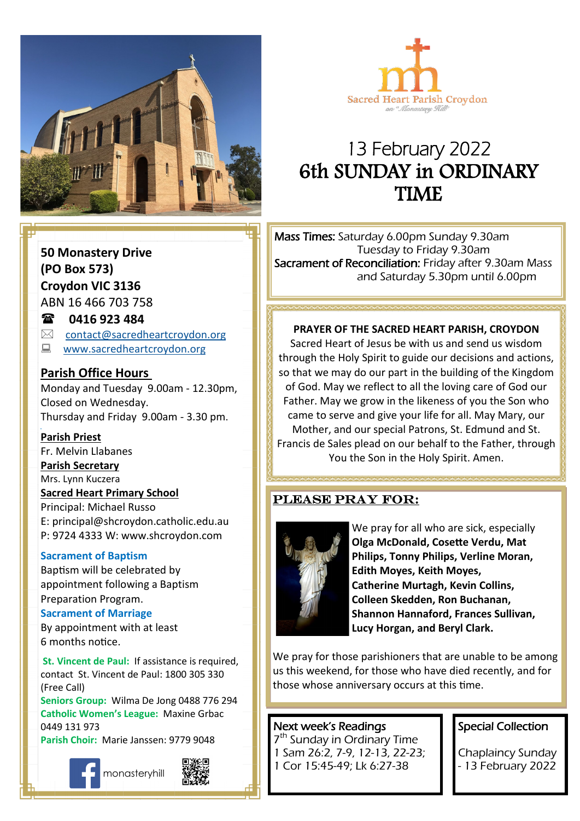



## 13 February 2022 6th SUNDAY in ORDINARY TIME

**50 Monastery Drive (PO Box 573) Croydon VIC 3136** ABN 16 466 703 758

### **0416 923 484**

 $\boxtimes$  [contact@sacredheartcroydon.org](mailto:contact@sacredheartcroydon.org)

**WWW.sacredheartcroydon.org** 

#### **Parish Office Hours**

Monday and Tuesday 9.00am - 12.30pm, Closed on Wednesday. Thursday and Friday 9.00am - 3.30 pm.

#### **Parish Priest**

Fr. Melvin Llabanes

#### **Parish Secretary**

Mrs. Lynn Kuczera

#### **Sacred Heart Primary School**

Principal: Michael Russo E: principal@shcroydon.catholic.edu.au P: 9724 4333 W: www.shcroydon.com

#### **Sacrament of Baptism**

Baptism will be celebrated by appointment following a Baptism Preparation Program.

#### **Sacrament of Marriage**

By appointment with at least 6 months notice.

**St. Vincent de Paul: If assistance is required.** contact St. Vincent de Paul: 1800 305 330 (Free Call)

**Seniors Group:** Wilma De Jong 0488 776 294 **Catholic Women's League:** Maxine Grbac 0449 131 973

**Parish Choir:** Marie Janssen: 9779 9048



monasteryhill



Mass Times: Saturday 6.00pm Sunday 9.30am Tuesday to Friday 9.30am Sacrament of Reconciliation: Friday after 9.30am Mass and Saturday 5.30pm until 6.00pm

#### **PRAYER OF THE SACRED HEART PARISH, CROYDON**

of God. May we reflect to all the loving care of God our Sacred Heart of Jesus be with us and send us wisdom through the Holy Spirit to guide our decisions and actions, so that we may do our part in the building of the Kingdom Father. May we grow in the likeness of you the Son who came to serve and give your life for all. May Mary, our Mother, and our special Patrons, St. Edmund and St. Francis de Sales plead on our behalf to the Father, through You the Son in the Holy Spirit. Amen.

#### Please pray for:



We pray for all who are sick, especially **Olga McDonald, Cosette Verdu, Mat Philips, Tonny Philips, Verline Moran, Edith Moyes, Keith Moyes, Catherine Murtagh, Kevin Collins, Colleen Skedden, Ron Buchanan, Shannon Hannaford, Frances Sullivan, Lucy Horgan, and Beryl Clark.** 

We pray for those parishioners that are unable to be among us this weekend, for those who have died recently, and for those whose anniversary occurs at this time.

#### Next week's Readings

7 th Sunday in Ordinary Time 1 Sam 26:2, 7-9, 12-13, 22-23; 1 Cor 15:45-49; Lk 6:27-38

#### Special Collection

Chaplaincy Sunday - 13 February 2022